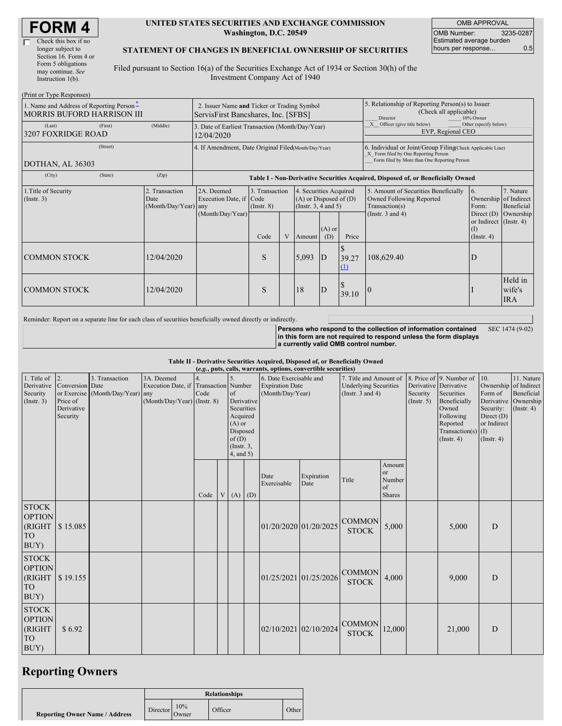| Check this box if no  |
|-----------------------|
| longer subject to     |
| Section 16. Form 4 or |
| Form 5 obligations    |
| may continue. See     |
| Instruction 1(b).     |

 $(D_{\text{rint}} \text{ or } T_{\text{true}})$ 

#### **UNITED STATES SECURITIES AND EXCHANGE COMMISSION Washington, D.C. 20549**

OMB APPROVAL OMB Number: 3235-0287 Estimated average burden hours per response... 0.5

### **STATEMENT OF CHANGES IN BENEFICIAL OWNERSHIP OF SECURITIES**

Filed pursuant to Section 16(a) of the Securities Exchange Act of 1934 or Section 30(h) of the Investment Company Act of 1940

| $(1 \text{ min of 1 ypc Rcspons})$<br>1. Name and Address of Reporting Person-<br><b>MORRIS BUFORD HARRISON III</b> | 2. Issuer Name and Ticker or Trading Symbol<br>ServisFirst Bancshares, Inc. [SFBS]                                           |            |                                                                                  |      |   |                                                                                    | 5. Relationship of Reporting Person(s) to Issuer<br>(Check all applicable)<br>Director<br>10% Owner |                         |                                                                                                                                                    |                                                                   |                                 |  |
|---------------------------------------------------------------------------------------------------------------------|------------------------------------------------------------------------------------------------------------------------------|------------|----------------------------------------------------------------------------------|------|---|------------------------------------------------------------------------------------|-----------------------------------------------------------------------------------------------------|-------------------------|----------------------------------------------------------------------------------------------------------------------------------------------------|-------------------------------------------------------------------|---------------------------------|--|
| (Last)<br>3207 FOXRIDGE ROAD                                                                                        | (First)                                                                                                                      | (Middle)   | 3. Date of Earliest Transaction (Month/Day/Year)<br>12/04/2020                   |      |   |                                                                                    |                                                                                                     |                         | Officer (give title below)<br>Other (specify below)<br>EVP, Regional CEO                                                                           |                                                                   |                                 |  |
| (Street)<br>DOTHAN, AL 36303                                                                                        |                                                                                                                              |            | 4. If Amendment, Date Original Filed(Month/Day/Year)                             |      |   |                                                                                    |                                                                                                     |                         | 6. Individual or Joint/Group Filing(Check Applicable Line)<br>X Form filed by One Reporting Person<br>Form filed by More than One Reporting Person |                                                                   |                                 |  |
| (City)                                                                                                              | (State)                                                                                                                      | (Zip)      | Table I - Non-Derivative Securities Acquired, Disposed of, or Beneficially Owned |      |   |                                                                                    |                                                                                                     |                         |                                                                                                                                                    |                                                                   |                                 |  |
| 1. Title of Security<br>(Insert. 3)                                                                                 | 3. Transaction<br>2. Transaction<br>2A. Deemed<br>Execution Date, if Code<br>Date<br>(Month/Day/Year) any<br>$($ Instr. $8)$ |            | 4. Securities Acquired<br>$(A)$ or Disposed of $(D)$<br>(Insert. 3, 4 and 5)     |      |   | 5. Amount of Securities Beneficially<br>Owned Following Reported<br>Transaction(s) | <sup>6.</sup><br>Ownership of Indirect<br>Form:                                                     | 7. Nature<br>Beneficial |                                                                                                                                                    |                                                                   |                                 |  |
|                                                                                                                     |                                                                                                                              |            | (Month/Day/Year)                                                                 | Code | V | Amount                                                                             | $(A)$ or<br>(D)                                                                                     | Price                   | (Instr. $3$ and $4$ )                                                                                                                              | Direct $(D)$<br>or Indirect (Instr. 4)<br>(I)<br>$($ Instr. 4 $)$ | Ownership                       |  |
| <b>COMMON STOCK</b>                                                                                                 |                                                                                                                              | 12/04/2020 |                                                                                  | S    |   | 5,093                                                                              | D                                                                                                   | 39.27<br>(1)            | 108,629.40                                                                                                                                         | ID                                                                |                                 |  |
| <b>COMMON STOCK</b>                                                                                                 |                                                                                                                              | 12/04/2020 |                                                                                  | S    |   | 18                                                                                 | D                                                                                                   | 39.10                   | 10                                                                                                                                                 |                                                                   | Held in<br>wife's<br><b>IRA</b> |  |

Reminder: Report on a separate line for each class of securities beneficially owned directly or indirectly.

**Persons who respond to the collection of information contained in this form are not required to respond unless the form displays a currently valid OMB control number.** SEC 1474 (9-02)

**Table II - Derivative Securities Acquired, Disposed of, or Beneficially Owned**

|                                                                 | (e.g., puts, calls, warrants, options, convertible securities)   |                                                    |                                                                                      |      |  |                                                                                               |            |                                                                       |                    |                                                                                                          |                                               |                                                  |                                                                                                          |                                                                                                    |                                                                      |
|-----------------------------------------------------------------|------------------------------------------------------------------|----------------------------------------------------|--------------------------------------------------------------------------------------|------|--|-----------------------------------------------------------------------------------------------|------------|-----------------------------------------------------------------------|--------------------|----------------------------------------------------------------------------------------------------------|-----------------------------------------------|--------------------------------------------------|----------------------------------------------------------------------------------------------------------|----------------------------------------------------------------------------------------------------|----------------------------------------------------------------------|
| 1. Title of $\vert$ 2.<br>Security<br>(Insert. 3)               | Derivative Conversion Date<br>Price of<br>Derivative<br>Security | 3. Transaction<br>or Exercise (Month/Day/Year) any | 3A. Deemed<br>Execution Date, if Transaction Number<br>$(Month/Day/Year)$ (Instr. 8) | Code |  | of<br>Securities<br>Acquired<br>$(A)$ or<br>Disposed<br>of(D)<br>$($ Instr. $3,$<br>4, and 5) | Derivative | 6. Date Exercisable and<br><b>Expiration Date</b><br>(Month/Day/Year) |                    | 7. Title and Amount of 8. Price of 9. Number of<br><b>Underlying Securities</b><br>(Instr. $3$ and $4$ ) |                                               | Derivative Derivative<br>Security<br>(Insert. 5) | Securities<br>Beneficially<br>Owned<br>Following<br>Reported<br>Transaction(s) $(I)$<br>$($ Instr. 4 $)$ | 10.<br>Ownership of Indirect<br>Form of<br>Security:<br>Direct $(D)$<br>or Indirect<br>(Insert. 4) | 11. Nature<br>Beneficial<br>Derivative Ownership<br>$($ Instr. 4 $)$ |
|                                                                 |                                                                  |                                                    |                                                                                      | Code |  | $V(A)$ (D)                                                                                    |            | Date<br>Exercisable                                                   | Expiration<br>Date | Title                                                                                                    | Amount<br>or<br>Number<br>of<br><b>Shares</b> |                                                  |                                                                                                          |                                                                                                    |                                                                      |
| $\mbox{STOCK}$<br><b>OPTION</b><br>(RIGHT<br>${\rm TO}$<br>BUY) | \$15.085                                                         |                                                    |                                                                                      |      |  |                                                                                               |            | 01/20/2020 01/20/2025                                                 |                    | <b>COMMON</b><br><b>STOCK</b>                                                                            | 5,000                                         |                                                  | 5,000                                                                                                    | D                                                                                                  |                                                                      |
| $\mbox{STOCK}$<br><b>OPTION</b><br>(RIGHT<br><b>TO</b><br>BUY)  | $\$\,19.155$                                                     |                                                    |                                                                                      |      |  |                                                                                               |            | 01/25/2021 01/25/2026                                                 |                    | <b>COMMON</b><br><b>STOCK</b>                                                                            | 4,000                                         |                                                  | 9,000                                                                                                    | D                                                                                                  |                                                                      |
| <b>STOCK</b><br><b>OPTION</b><br>(RIGHT<br><b>TO</b><br>BUY)    | \$6.92                                                           |                                                    |                                                                                      |      |  |                                                                                               |            | 02/10/2021 02/10/2024                                                 |                    | <b>COMMON</b><br><b>STOCK</b>                                                                            | 12,000                                        |                                                  | 21,000                                                                                                   | D                                                                                                  |                                                                      |

## **Reporting Owners**

|                                       | <b>Relationships</b>        |              |         |              |  |  |  |
|---------------------------------------|-----------------------------|--------------|---------|--------------|--|--|--|
| <b>Reporting Owner Name / Address</b> | Director $\frac{1070}{100}$ | 10%<br>Owner | Officer | <b>Other</b> |  |  |  |